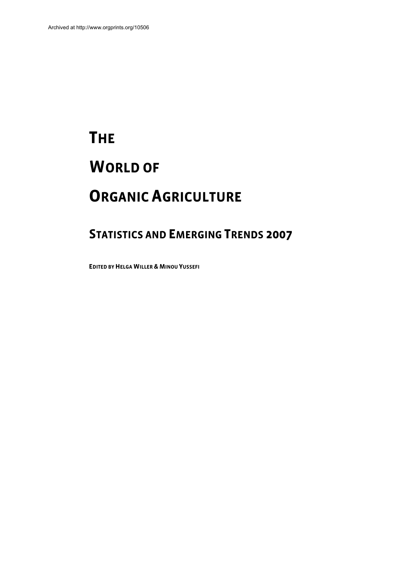# **THE WORLD OF ORGANIC AGRICULTURE**

## **STATISTICS AND EMERGING TRENDS 2007**

**EDITED BY HELGA WILLER & MINOU YUSSEFI**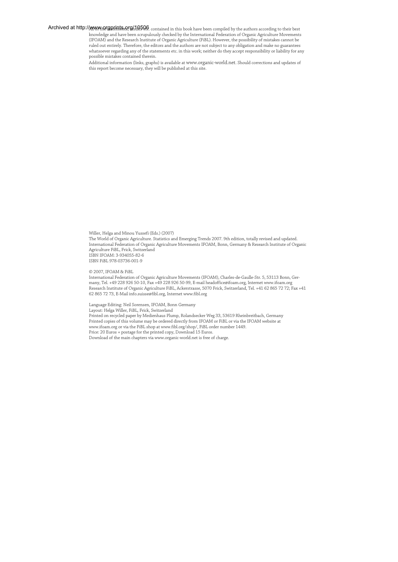Ar**chived at http://www.prgprints.org/10506** contained in this book have been compiled by the authors according to their best knowledge and have been scrupulously checked by the International Federation of Organic Agriculture Movements (IFOAM) and the Research Institute of Organic Agriculture (FiBL). However, the possibility of mistakes cannot be ruled out entirely. Therefore, the editors and the authors are not subject to any obligation and make no guarantees whatsoever regarding any of the statements etc. in this work; neither do they accept responsibility or liability for any possible mistakes contained therein.

Additional information (links, graphs) is available at www.organic-world.net. Should corrections and updates of this report become necessary, they will be published at this site.

Willer, Helga and Minou Yussefi (Eds.) (2007) The World of Organic Agriculture. Statistics and Emerging Trends 2007. 9th edition, totally revised and updated. International Federation of Organic Agriculture Movements IFOAM, Bonn, Germany & Research Institute of Organic Agriculture FiBL, Frick, Switzerland ISBN IFOAM: 3-934055-82-6 ISBN FiBL 978-03736-001-9

#### © 2007, IFOAM & FiBL

International Federation of Organic Agriculture Movements (IFOAM), Charles-de-Gaulle-Str. 5, 53113 Bonn, Germany, Tel. +49 228 926 50-10, Fax +49 228 926 50-99, E-mail headoffice@ifoam.org, Internet www.ifoam.org Research Institute of Organic Agriculture FiBL, Ackerstrasse, 5070 Frick, Switzerland, Tel. +41 62 865 72 72; Fax +41 62 865 72 73, E-Mail info.suisse@fibl.org, Internet www.fibl.org

Language Editing: Neil Sorensen, IFOAM, Bonn Germany Layout: Helga Willer, FiBL, Frick, Switzerland Printed on recycled paper by Medienhaus Plump, Rolandsecker Weg 33, 53619 Rheinbreitbach, Germany Printed copies of this volume may be ordered directly from IFOAM or FiBL or via the IFOAM website at www.ifoam.org or via the FiBL shop at www.fibl.org/shop/, FiBL order number 1449. Price: 20 Euros + postage for the printed copy, Download 15 Euros. Download of the main chapters via www.organic-world.net is free of charge.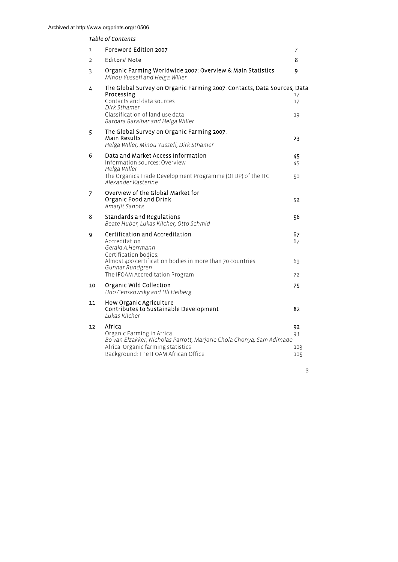## *Table of Contents*

| 1              | Foreword Edition 2007                                                                                                                                                                                      | 7                      |
|----------------|------------------------------------------------------------------------------------------------------------------------------------------------------------------------------------------------------------|------------------------|
| $\overline{2}$ | <b>Editors' Note</b>                                                                                                                                                                                       | 8                      |
| 3              | Organic Farming Worldwide 2007: Overview & Main Statistics<br>Minou Yussefi and Helga Willer                                                                                                               | 9                      |
| 4              | The Global Survey on Organic Farming 2007: Contacts, Data Sources, Data<br>Processing<br>Contacts and data sources<br>Dirk Sthamer<br>Classification of land use data<br>Bàrbara Baraibar and Helga Willer | 17<br>17<br>19         |
| 5              | The Global Survey on Organic Farming 2007:<br>Main Results<br>Helga Willer, Minou Yussefi, Dirk Sthamer                                                                                                    | 23                     |
| 6              | Data and Market Access Information<br>Information sources: Overview<br>Helga Willer<br>The Organics Trade Development Programme (OTDP) of the ITC<br>Alexander Kasterine                                   | 45<br>45<br>50         |
| 7              | Overview of the Global Market for<br>Organic Food and Drink<br>Amarjit Sahota                                                                                                                              | 52                     |
| 8              | Standards and Regulations<br>Beate Huber, Lukas Kilcher, Otto Schmid                                                                                                                                       | 56                     |
| 9              | Certification and Accreditation<br>Accreditation<br>Gerald A.Herrmann<br>Certification bodies:                                                                                                             | 67<br>67               |
|                | Almost 400 certification bodies in more than 70 countries<br>Gunnar Rundgren<br>The IFOAM Accreditation Program                                                                                            | 69<br>72               |
| 10             | Organic Wild Collection<br>Udo Censkowsky and Uli Helberg                                                                                                                                                  | 75                     |
| 11             | How Organic Agriculture<br>Contributes to Sustainable Development<br>Lukas Kilcher                                                                                                                         | 82                     |
| 12             | Africa<br>Organic Farming in Africa<br>Bo van Elzakker, Nicholas Parrott, Marjorie Chola Chonya, Sam Adimado<br>Africa: Organic farming statistics<br>Background: The IFOAM African Office                 | 92<br>93<br>103<br>105 |
|                |                                                                                                                                                                                                            |                        |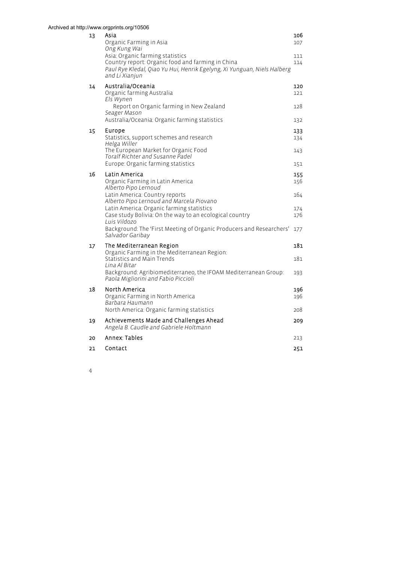## 13 Asia 106 Organic Farming in Asia 107 *Ong Kung Wai*  Asia: Organic farming statistics<br>Country report: Organic food and farming in China 114 Country report: Organic food and farming in China *Paul Rye Kledal, Qiao Yu Hui, Henrik Egelyng, Xi Yunguan, Niels Halberg and Li Xianjun*  14 Australia/Oceania 120 Organic farming Australia 121 and 121 *Els Wynen*  Report on Organic farming in New Zealand 128 *Seager Mason*  Australia/Oceania: Organic farming statistics 132 15 Europe 133 Statistics, support schemes and research 134 *Helga Willer*  The European Market for Organic Food 143 *Toralf Richter and Susanne Padel*  Europe: Organic farming statistics 151 16 Latin America 2008 155 Organic Farming in Latin America 156 *Alberto Pipo Lernoud*  Latin America: Country reports 164 *Alberto Pipo Lernoud and Marcela Piovano*  Latin America: Organic farming statistics 174 Case study Bolivia: On the way to an ecological country 176 *Luis Vildozo*  Background: The 'First Meeting of Organic Producers and Researchers' 177 *Salvador Garibay*  17 The Mediterranean Region 181 and 182 Organic Farming in the Mediterranean Region: Statistics and Main Trends 181 *Lina Al Bitar* Background: Agribiomediterraneo, the IFOAM Mediterranean Group: 193 *Paola Migliorini and Fabio Piccioli*  18 North America 2008 196 Organic Farming in North America 196 *Barbara Haumann*  North America: Organic farming statistics 208 19 Achievements Made and Challenges Ahead 209 *Angela B. Caudle and Gabriele Holtmann*  20 Annex: Tables 213 21 Contact 251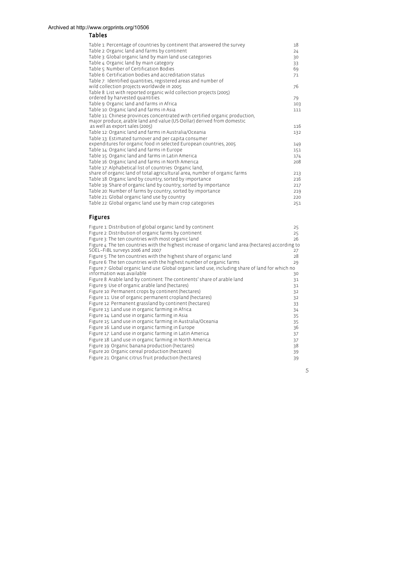## Tables

| Table 1: Percentage of countries by continent that answered the survey      | 18  |
|-----------------------------------------------------------------------------|-----|
| Table 2: Organic land and farms by continent                                | 24  |
| Table 3: Global organic land by main land use categories                    | 30  |
| Table 4: Organic land by main category                                      | 33  |
| Table 5: Number of Certification Bodies                                     | 69  |
| Table 6: Certification bodies and accreditation status                      | 71  |
| Table 7: Identified quantities, registered areas and number of              |     |
| wild collection projects worldwide in 2005                                  | 76  |
| Table 8: List with reported organic wild collection projects (2005)         |     |
| ordered by harvested quantities.                                            | 79  |
| Table 9: Organic land and farms in Africa                                   | 103 |
| Table 10: Organic land and farms in Asia                                    | 111 |
| Table 11: Chinese provinces concentrated with certified organic production, |     |
| major produce, arable land and value (US-Dollar) derived from domestic      |     |
| as well as export sales (2005)                                              | 116 |
| Table 12: Organic land and farms in Australia/Oceania                       | 132 |
| Table 13: Estimated turnover and per capita consumer                        |     |
| expenditures for organic food in selected European countries, 2005          | 149 |
| Table 14: Organic land and farms in Europe                                  | 151 |
| Table 15: Organic land and farms in Latin America                           | 174 |
| Table 16: Organic land and farms in North America                           | 208 |
| Table 17: Alphabetical list of countries: Organic land,                     |     |
| share of organic land of total agricultural area, number of organic farms   | 213 |
| Table 18: Organic land by country, sorted by importance                     | 216 |
| Table 19: Share of organic land by country, sorted by importance            | 217 |
| Table 20: Number of farms by country, sorted by importance                  | 219 |
| Table 21: Global organic land use by country                                | 220 |
| Table 22: Global organic land use by main crop categories                   | 251 |

## Figures

| Figure 1: Distribution of global organic land by continent                                         | 25 |
|----------------------------------------------------------------------------------------------------|----|
| Figure 2: Distribution of organic farms by continent                                               | 25 |
| Figure 3: The ten countries with most organic land                                                 | 26 |
| Figure 4: The ten countries with the highest increase of organic land area (hectares) according to |    |
| SOEL-FIBL surveys 2006 and 2007                                                                    | 27 |
| Figure 5: The ten countries with the highest share of organic land                                 | 28 |
| Figure 6: The ten countries with the highest number of organic farms                               | 29 |
| Figure 7: Global organic land use: Global organic land use, including share of land for which no   |    |
| information was available                                                                          | 30 |
| Figure 8: Arable land by continent: The continents' share of arable land                           | 31 |
| Figure 9: Use of organic arable land (hectares)                                                    | 31 |
| Figure 10: Permanent crops by continent (hectares)                                                 | 32 |
| Figure 11: Use of organic permanent cropland (hectares)                                            | 32 |
| Figure 12: Permanent grassland by continent (hectares)                                             | 33 |
| Figure 13: Land use in organic farming in Africa                                                   | 34 |
| Figure 14: Land use in organic farming in Asia                                                     | 35 |
| Figure 15: Land use in organic farming in Australia/Oceania                                        | 35 |
| Figure 16: Land use in organic farming in Europe                                                   | 36 |
| Figure 17: Land use in organic farming in Latin America                                            | 37 |
| Figure 18: Land use in organic farming in North America                                            | 37 |
| Figure 19: Organic banana production (hectares)                                                    | 38 |
| Figure 20: Organic cereal production (hectares)                                                    | 39 |
| Figure 21: Organic citrus fruit production (hectares)                                              | 39 |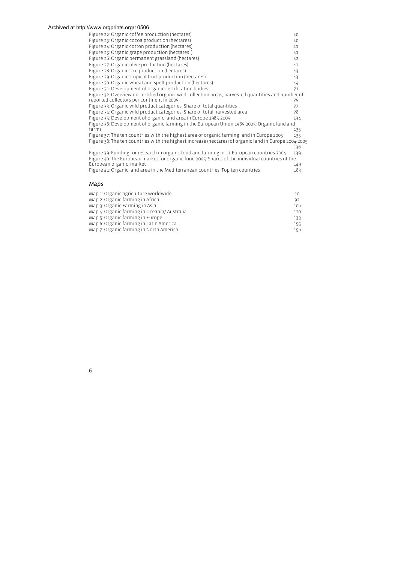6

| Figure 22: Organic coffee production (hectares)                                                       | 40  |
|-------------------------------------------------------------------------------------------------------|-----|
| Figure 23: Organic cocoa production (hectares)                                                        | 40  |
| Figure 24: Organic cotton production (hectares)                                                       | 41  |
| Figure 25: Organic grape production (hectares)                                                        | 41  |
| Figure 26: Organic permanent grassland (hectares)                                                     | 42  |
| Figure 27: Organic olive production (hectares)                                                        | 42  |
| Figure 28: Organic rice production (hectares)                                                         | 43  |
| Figure 29: Organic tropical fruit production (hectares)                                               | 43  |
| Figure 30: Organic wheat and spelt production (hectares)                                              | 44  |
| Figure 31: Development of organic certification bodies                                                | 71  |
| Figure 32: Overview on certified organic wild collection areas, harvested quantities and number of    |     |
| reported collectors per continent in 2005.                                                            | 75  |
| Figure 33: Organic wild product categories: Share of total quantities                                 | 77  |
| Figure 34: Organic wild product categories: Share of total harvested area                             | 78  |
| Figure 35: Development of organic land area in Europe 1985-2005                                       | 134 |
| Figure 36: Development of organic farming in the European Union 1985-2005: Organic land and           |     |
| farms                                                                                                 | 135 |
| Figure 37: The ten countries with the highest area of organic farming land in Europe 2005             | 135 |
| Figure 38: The ten countries with the highest increase (hectares) of organic land in Europe 2004-2005 | 136 |
| Figure 39: Funding for research in organic food and farming in 11 European countries 2004             | 139 |
| Figure 40: The European market for organic food 2005: Shares of the individual countries of the       |     |
| European organic market                                                                               | 149 |
| Figure 41: Organic land area in the Mediterranean countries. Top ten countries                        | 183 |
| Maps                                                                                                  |     |
| Map 1: Organic agriculture worldwide                                                                  | 10  |
| Map 2: Organic farming in Africa.                                                                     | 92  |
| Map 3: Organic Farming in Asia                                                                        | 106 |
| Map 4: Organic farming in Oceania/Australia                                                           | 120 |

Map 5: Organic farming in Europe 133 Map 6: Organic farming in Latin America 155 Map 7: Organic farming in North America 196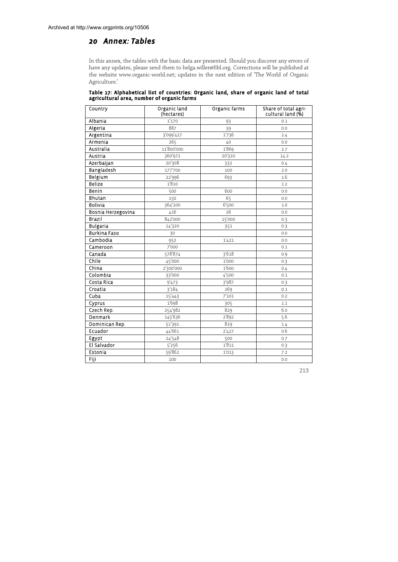## *20 Annex: Tables*

In this annex, the tables with the basic data are presented. Should you discover any errors of have any updates, please send them to helga.willer@fibl.org. Corrections will be published at the website www.organic-world.net; updates in the next edition of 'The World of Organic Agriculture.'

Table 17: Alphabetical list of countries: Organic land, share of organic land of total agricultural area, number of organic farms

| Country            | Organic land<br>(hectares) | Organic farms | Share of total agri-<br>cultural land (%) |
|--------------------|----------------------------|---------------|-------------------------------------------|
| Albania            | 1'170                      | 93            | 0.1                                       |
| Algeria            | 887                        | 39            | 0.0                                       |
| Argentina          | 3'099'427                  | 1'736         | 2.4                                       |
| Armenia            | 265                        | 40            | 0.0                                       |
| Australia          | 11'800'000                 | 1'869         | 2.7                                       |
| Austria            | 360'972                    | 20'310        | 14.2                                      |
| Azerbaijan         | 20'308                     | 332           | 0.4                                       |
| Bangladesh         | 177'700                    | 100           | 2.0                                       |
| Belgium            | 22'996                     | 693           | 1.6                                       |
| <b>Belize</b>      | 1'810                      |               | 1.2                                       |
| Benin              | 500                        | 600           | 0.0                                       |
| Bhutan             | 150                        | 65            | 0.0                                       |
| <b>Bolivia</b>     | 364'100                    | 6'500         | 1.0                                       |
| Bosnia Herzegovina | 416                        | 26            | 0.0                                       |
| <b>Brazil</b>      | 842'000                    | 15'000        | 0.3                                       |
| <b>Bulgaria</b>    | 14'320                     | 351           | 0.3                                       |
| Burkina Faso       | 30                         |               | 0.0                                       |
| Cambodia           | 952                        | 1'421         | 0.0                                       |
| Cameroon           | 7'000                      |               | 0.1                                       |
| Canada             | 578'874                    | 3'618         | 0.9                                       |
| Chile              | 45'000                     | 1'000         | 0.3                                       |
| China              | 2'300'000                  | 1'600         | 0.4                                       |
| Colombia           | 33'000                     | 4'500         | 0.1                                       |
| Costa Rica         | 9'473                      | 3'987         | 0.3                                       |
| Croatia            | 3'184                      | 269           | 0.1                                       |
| Cuba               | 15'443                     | 7'101         | 0.2                                       |
| Cyprus             | 1'698                      | 305           | 1.1                                       |
| Czech Rep.         | 254'982                    | 829           | 6.0                                       |
| Denmark            | 145'636                    | 2'892         | 5.6                                       |
| Dominican Rep.     | 51'391                     | 819           | 1.4                                       |
| Ecuador            | 44'661                     | 2'427         | 0.6                                       |
| Egypt              | 24'548                     | 500           | 0.7                                       |
| El Salvador        | 5'256                      | 1'811         | 0.3                                       |
| Estonia            | 59'862                     | 1'013         | 7.2                                       |
| Fiji               | 100                        |               | 0.0                                       |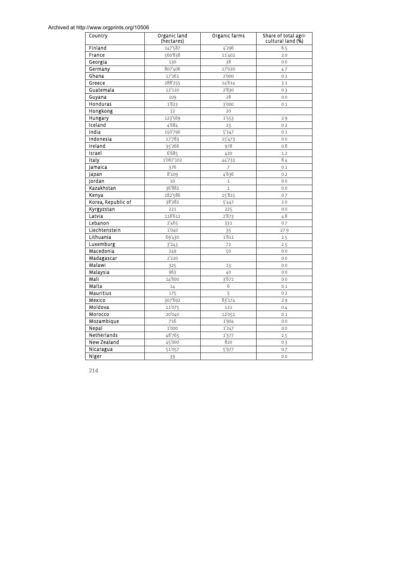| Country            | Organic land<br>(hectares) | Organic farms       | Share of total agri-<br>cultural land (%) |
|--------------------|----------------------------|---------------------|-------------------------------------------|
| Finland            | 147'587                    | 4'296               | 6.5                                       |
| France             | 560'838                    | 11'402              | 2.0                                       |
| Georgia            | 130                        | 38                  | 0.0                                       |
| Germany            | 807'406                    | 17'020              | 4.7                                       |
| Ghana              | 17'261                     | 2'000               | 0.1                                       |
| Greece             | 288'255                    | 14'614              | 3.1                                       |
| Guatemala          | 12'110                     | 2'830               | 0.3                                       |
| Guyana             | 109                        | 28                  | 0.0                                       |
| Honduras           | 1'823                      | 3'000               | 0.1                                       |
| Hongkong           | 12                         | 20                  |                                           |
| Hungary            | 123'569                    | 1'553               | 2.9                                       |
| Iceland            | 4'684                      | 23                  | 0.2                                       |
| India              | 150'790                    | $\overline{5}$ '147 | 0.1                                       |
| Indonesia          | 17'783                     | 15'473              | 0.0                                       |
| Ireland            | 35'266                     | 978                 | 0.8                                       |
| Israel             | 6'685                      | 420                 | 1.2                                       |
| Italy              | 1'067'102                  | 44'733              | 8.4                                       |
| Jamaica            | 376                        | 7                   | 0.1                                       |
| Japan              | 8'109                      | 4'636               | 0.2                                       |
| Jordan             | 10                         | $\mathbf{1}$        | $0.0\,$                                   |
| Kazakhstan         | 36'882                     | $\mathbf{1}$        | 0.0                                       |
| Kenya              | 182'586                    | 15'815              | 0.7                                       |
| Korea, Republic of | 38'282                     | 5'447               | 2.0                                       |
| Kyrgyzstan         | 221                        | 225                 | 0.0                                       |
| Latvia             | 118'612                    | 2'873               | 4.8                                       |
| Lebanon            | 2'465                      | 331                 | 0.7                                       |
| Liechtenstein      | 1'040                      | 35                  | 27.9                                      |
| Lithuania          | 69'430                     | 1'811               | 2.5                                       |
| Luxemburg          | 3'243                      | 72                  | 2.5                                       |
| Macedonia          | 249                        | 50                  | 0.0                                       |
| Madagascar         | 2'220                      |                     | 0.0                                       |
| Malawi             | 325                        | 13                  | 0.0                                       |
| Malaysia           | 963                        | 40                  | 0.0                                       |
| Mali               | 14'600                     | 3'672               | 0.0                                       |
| Malta              | 14                         | 6                   | 0.1                                       |
| Mauritius          | 175                        | $\overline{5}$      | 0.2                                       |
| Mexico             | 307'692                    | 83'174              | 2.9                                       |
| Moldova            | 11'075                     | 121                 | 0.4                                       |
| Morocco            | 20'040                     | 12'051              | 0.1                                       |
| Mozambique         | 716                        | 1'904               | 0.0                                       |
| Nepal              | 1'000                      | 1'247               | 0.0                                       |
| Netherlands        | 48'765                     | 1'377               | 2.5                                       |
| New Zealand        | 45'000                     | 820                 | 0.3                                       |
| Nicaragua          | $\overline{5}1'057$        | 5'977               | 0.7                                       |
| Niger              | 39                         |                     | 0.0                                       |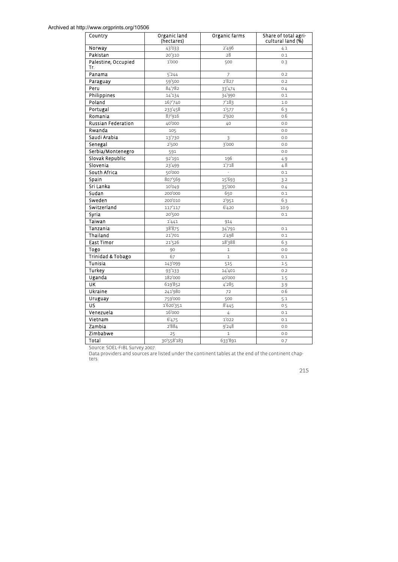| Country                    | Organic land<br>(hectares) | Organic farms  | Share of total agri-<br>cultural land (%) |
|----------------------------|----------------------------|----------------|-------------------------------------------|
| Norway                     | 43'033                     | 2'496          | 4.1                                       |
| Pakistan                   | 20'310                     | 28             | 0.1                                       |
| Palestine, Occupied<br>Tr. | 1'000                      | 500            | 0.3                                       |
| Panama                     | 5'244                      | $\overline{7}$ | 0.2                                       |
| Paraguay                   | 59'500                     | 2'827          | 0.2                                       |
| Peru                       | 84'782                     | 33'474         | 0.4                                       |
| Philippines                | 14'134                     | 34'990         | 0.1                                       |
| Poland                     | 167'740                    | 7'183          | 1.0                                       |
| Portugal                   | 233'458                    | 1'577          | 6.3                                       |
| Romania                    | 87'916                     | 2'920          | 0.6                                       |
| <b>Russian Federation</b>  | 40'000                     | 40             | 0.0                                       |
| Rwanda                     | 105                        |                | 0.0                                       |
| Saudi Arabia               | 13'730                     | 3              | 0.0                                       |
| Senegal                    | 2'500                      | 3'000          | 0.0                                       |
| Serbia/Montenegro          | 591                        |                | 0.0                                       |
| Slovak Republic            | 92'191                     | 196            | 4.9                                       |
| Slovenia                   | 23'499                     | 1'718          | 4.8                                       |
| South Africa               | 50'000                     |                | 0.1                                       |
| Spain                      | 807'569                    | 15'693         | 3.2                                       |
| Sri Lanka                  | 10'049                     | 35'000         | 0.4                                       |
| Sudan                      | 200'000                    | 650            | 0.1                                       |
| Sweden                     | 200'010                    | 2'951          | 6.3                                       |
| Switzerland                | 117'117                    | 6'420          | 10.9                                      |
| Syria                      | 20'500                     |                | 0.1                                       |
| Taiwan                     | 1'441                      | 914            |                                           |
| Tanzania                   | 38'875                     | 34'791         | 0.1                                       |
| Thailand                   | 21'701                     | 2'498          | 0.1                                       |
| <b>East Timor</b>          | 21'526                     | 18'388         | 6.3                                       |
| Togo                       | 90                         | $\mathbf 1$    | 0.0                                       |
| Trinidad & Tobago          | 67                         | $\mathbf 1$    | 0.1                                       |
| Tunisia                    | 143'099                    | 515            | 1.5                                       |
| Turkey                     | 93'133                     | 14'401         | 0.2                                       |
| Uganda                     | 182'000                    | 40'000         | 1.5                                       |
| UK                         | 619'852                    | 4'285          | 3.9                                       |
| Ukraine                    | 241'980                    | 72             | 0.6                                       |
| Uruguay                    | 759'000                    | 500            | 5.1                                       |
| US                         | 1'620'351                  | 8'445          | 0.5                                       |
| Venezuela                  | 16'000                     | 4              | 0.1                                       |
| Vietnam                    | 6'475                      | 1'022          | 0.1                                       |
| Zambia                     | 2'884                      | 9'248          | 0.0                                       |
| Zimbabwe                   | 25                         | $\mathbf{1}$   | 0.0                                       |
| Total                      | 30'558'183                 | 633'891        | 0.7                                       |

Source: SOEL-FiBL Survey 2007.

Data providers and sources are listed under the continent tables at the end of the continent chap-ters.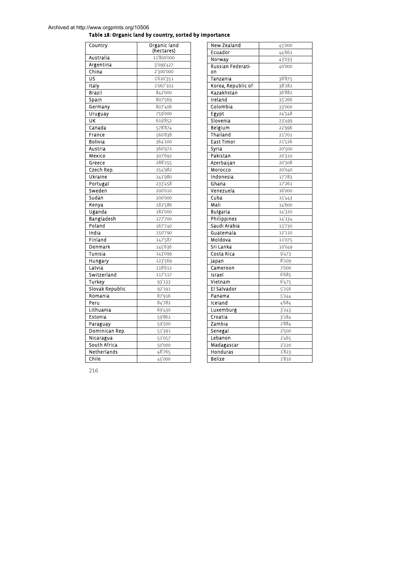## Table 18: Organic land by country, sorted by importance

| Country         | Organic land<br>(hectares) |
|-----------------|----------------------------|
| Australia       | 11'800'000                 |
| Argentina       | 3'099'427                  |
| China           | 2'300'000                  |
| US              | 1'620'351                  |
| <b>Italy</b>    | 1'067'102                  |
| Brazil          | 842'000                    |
| .<br>Spain      | 807'569                    |
| Germany         | 807'406                    |
| Uruguay         | 759'000                    |
| UK              | 619'852                    |
| Canada          | 578'874                    |
| France          | 560'838                    |
| <b>Bolivia</b>  | 364'100                    |
| Austria         | 360'972                    |
| Mexico          | 307'692                    |
| Greece          | 288'255                    |
| Czech Rep.      | 254'982                    |
| Ukraine         | 241'980                    |
| Portugal        | 233'458                    |
| Sweden          | 200'010                    |
| Sudan           | 200'000                    |
| Kenya           | 182'586                    |
| Uganda          | 182'000                    |
| Bangladesh      | 177'700                    |
| Poland          | 167'740                    |
| India           | 150'790                    |
| Finland         | 147'587                    |
| Denmark         | 145'636                    |
| Tunisia         | 143'099                    |
| Hungary         | 123'569                    |
| Latvia          | 118'612                    |
| Switzerland     | 117'117                    |
| <b>Turkey</b>   | $\overline{93}'$ 133       |
| Slovak Republic | 92'191                     |
| Romania         | 87'916                     |
| Peru            | 84'782                     |
| Lithuania       | 69'430                     |
| Estonia         | 59'862                     |
| Paraguay        | 59'500                     |
| Dominican Rep.  | 51'391                     |
| Nicaragua       | 51'057                     |
| South Africa    | 50'000                     |
| Netherlands     | 48'765                     |
| Chile           | 45'000                     |

| New Zealand                       | 45'000                          |  |
|-----------------------------------|---------------------------------|--|
| Ecuador                           | 44'661                          |  |
| Norway                            | 43'033                          |  |
| Russian Federati-<br>on           | 40'000                          |  |
| Tanzania                          | 38'875                          |  |
| Korea, Republic of                | 38'282                          |  |
| Kazakhstan                        | 36'882                          |  |
| Ireland                           | 35'266                          |  |
| Colombia                          | 33'000                          |  |
| Egypt                             | 24'548                          |  |
| Slovenia                          | 23'499                          |  |
| Belgium                           | 22'996                          |  |
| Thailand                          | _<br>21'701                     |  |
| East Timor                        | 21'526                          |  |
| Syria                             | 20'500                          |  |
| Pakistan                          | 20'310                          |  |
| Azerbaijan                        | 20'308                          |  |
| Morocco                           | 20'040                          |  |
| <b>Indonesia</b>                  | 17'783                          |  |
| Ghana                             | 17'261                          |  |
| Venezuela                         | 16'000                          |  |
| Cuba                              | 15'443                          |  |
| Mali                              | 14'600                          |  |
| Bulgaria                          | 14'320                          |  |
| Philippines                       | _<br>14'134                     |  |
| Saudi Arabia                      | 13'730                          |  |
| Guatemala                         | 12'110                          |  |
| Moldova                           | 11'075                          |  |
| Sri Lanka                         | 10'049                          |  |
| Costa Rica                        | 9'473                           |  |
| Japan                             | 8'109                           |  |
| Cameroon                          | $\frac{1}{7}$ '000              |  |
| Israel                            | 6'685                           |  |
| Vietnam                           | 6'475                           |  |
| El Salvador                       | 5'256                           |  |
| Panama                            | $\overline{5}$ <sup>'</sup> 244 |  |
| Iceland                           | 4'684                           |  |
| Luxemburg                         | 3'243                           |  |
| Croatia                           | 3'184                           |  |
| Zambia                            | 2'884                           |  |
| Senegal                           | 2'500                           |  |
| Lebanon                           | 2'465                           |  |
| $\overline{\mathsf{M}}$ adagascar | 2'220                           |  |
| Honduras                          | 1'823                           |  |
| <b>Belize</b>                     | 1'810                           |  |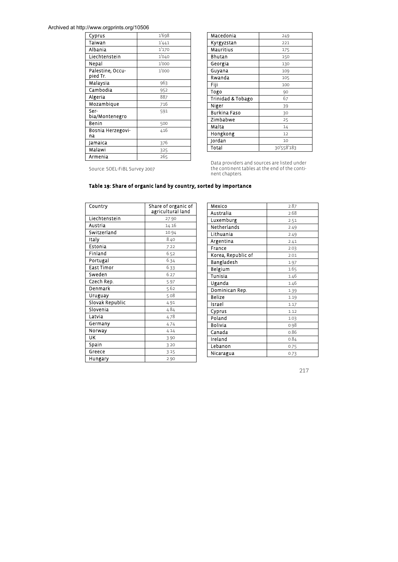| Cyprus                       | 1'698 |
|------------------------------|-------|
| Taiwan                       | 1'441 |
| Albania                      | 1'170 |
| Liechtenstein                | 1'040 |
| Nepal                        | 1'000 |
| Palestine, Occu-<br>pied Tr. | 1'000 |
| Malaysia                     | 963   |
| Cambodia                     | 952   |
| Algeria                      | 887   |
| Mozambique                   | 716   |
| Ser-<br>bia/Montenegro       | 591   |
| Benin                        | 500   |
| Bosnia Herzegovi-<br>na      | 416   |
| Jamaica                      | 376   |
| Malawi                       | 325   |
| Armenia                      | 265   |

| Macedonia         | 249        |  |
|-------------------|------------|--|
| Kyrgyzstan        | 221        |  |
| Mauritius         | 175        |  |
| Bhutan            | 150        |  |
| Georgia           | 130        |  |
| Guyana            | 109        |  |
| Rwanda            | 105        |  |
| Fiji              | 100        |  |
| Togo              | 90         |  |
| Trinidad & Tobago | 67         |  |
| Niger             | 39         |  |
| Burkina Faso      | 30         |  |
| Zimbabwe          | 25         |  |
| Malta             | 14         |  |
| Hongkong          | 12         |  |
| Jordan            | 10         |  |
| Total             | 30'558'183 |  |

Data providers and sources are listed under the continent tables at the end of the conti-nent chapters.

Source: SOEL-FiBL Survey 2007

#### Table 19: Share of organic land by country, sorted by importance

 $\blacksquare$ 

| Country         | Share of organic of<br>agricultural land |
|-----------------|------------------------------------------|
| Liechtenstein   | 27.90                                    |
| Austria         | 14.16                                    |
| Switzerland     | 10.94                                    |
| Italy           | 8.40                                     |
| Estonia         | 7.22                                     |
| Finland         | 6.52                                     |
| Portugal        | 6.34                                     |
| East Timor      | 6.33                                     |
| Sweden          | 6.27                                     |
| Czech Rep.      | 5.97                                     |
| Denmark         | 5.62                                     |
| Uruguay         | 5.08                                     |
| Slovak Republic | 4.91                                     |
| Slovenia        | 4.84                                     |
| Latvia          | 4.78                                     |
| Germany         | 4.74                                     |
| Norway          | 4.14                                     |
| UK              | 3.90                                     |
| Spain           | 3.20                                     |
| Greece          | 3.15                                     |
| Hungary         | 2.90                                     |

| Mexico             | 2.87 |
|--------------------|------|
| Australia          | 2.68 |
| Luxemburg          | 2.51 |
| Netherlands        | 2.49 |
| Lithuania          | 2.49 |
| Argentina          | 2.41 |
| France             | 2.03 |
| Korea, Republic of | 2.01 |
| Bangladesh         | 1.97 |
| Belgium            | 1.65 |
| Tunisia            | 1.46 |
| Uganda             | 1.46 |
| Dominican Rep.     | 1.39 |
| Belize             | 1.19 |
| Israel             | 1.17 |
| Cyprus             | 1.12 |
| Poland             | 1.03 |
| Bolivia            | 0.98 |
| Canada             | 0.86 |
| Ireland            | 0.84 |
| Lebanon            | 0.75 |
| Nicaragua          | 0.73 |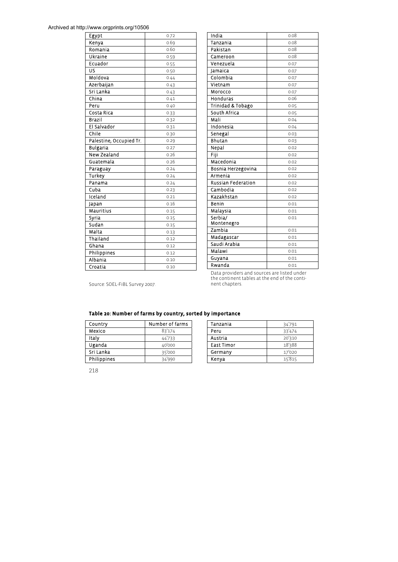| Egypt                   | 0.72 |
|-------------------------|------|
| Kenya                   | 0.69 |
| Romania                 | 0.60 |
| Ukraine                 | 0.59 |
| Ecuador                 | 0.55 |
| บร                      | 0.50 |
| Moldova                 | 0.44 |
| Azerbaijan              | 0.43 |
| Sri Lanka               | 0.43 |
| China                   | 0.41 |
| Peru                    | 0.40 |
| Costa Rica              | 0.33 |
| <b>Brazil</b>           | 0.32 |
| El Salvador             | 0.31 |
| Chile                   | 0.30 |
| Palestine, Occupied Tr. | 0.29 |
| <b>Bulgaria</b>         | 0.27 |
| New Zealand             | 0.26 |
| Guatemala               | 0.26 |
| Paraguay                | 0.24 |
| <b>Turkey</b>           | 0.24 |
| Panama                  | 0.24 |
| Cuba                    | 0.23 |
| Iceland                 | 0.21 |
| Japan                   | 0.16 |
| Mauritius               | 0.15 |
| Syria                   | 0.15 |
| Sudan                   | 0.15 |
| Malta                   | 0.13 |
| Thailand                | 0.12 |
| Ghana                   | 0.12 |
| Philippines             | 0.12 |
| Albania                 | 0.10 |
| Croatia                 | 0.10 |

| India                     | 0.08 |
|---------------------------|------|
| Tanzania                  | 0.08 |
| Pakistan                  | 0.08 |
| Cameroon                  | 0.08 |
| Venezuela                 | 0.07 |
| Jamaica                   | 0.07 |
| Colombia                  | 0.07 |
| Vietnam                   | 0.07 |
| Morocco                   | 0.07 |
| Honduras                  | 0.06 |
| Trinidad & Tobago         | 0.05 |
| South Africa              | 0.05 |
| Mali                      | 0.04 |
| <b>Indonesia</b>          | 0.04 |
| Senegal                   | 0.03 |
| Bhutan                    | 0.03 |
| Nepal                     | 0.02 |
| Fiji                      | 0.02 |
| Macedonia                 | 0.02 |
| Bosnia Herzegovina        | 0.02 |
| Armenia                   | 0.02 |
| <b>Russian Federation</b> | 0.02 |
| Cambodia                  | 0.02 |
| Kazakhstan                | 0.02 |
| Benin                     | 0.01 |
| .<br>Malaysia             | 0.01 |
| Serbia/                   | 0.01 |
| Montenegro                |      |
| Zambia                    | 0.01 |
| Madagascar                | 0.01 |
| Saudi Arabia              | 0.01 |
| Malawi                    | 0.01 |
| Guyana                    | 0.01 |
| Rwanda                    | 0.01 |

Source: SOEL-FiBL Survey 2007.

Data providers and sources are listed under the continent tables at the end of the conti-nent chapters.

Table 20: Number of farms by country, sorted by importance

| Country     | Number of farms |  |  |
|-------------|-----------------|--|--|
| Mexico      | 83'174          |  |  |
| Italy       | 44'733          |  |  |
| Uganda      | 40'000          |  |  |
| Sri Lanka   | 35'000          |  |  |
| Philippines | 34'990          |  |  |

| Tanzania   | 34'791 |
|------------|--------|
| Peru       | 33'474 |
| Austria    | 20'310 |
| East Timor | 18'388 |
| Germany    | 17'020 |
| Kenya      | 15'815 |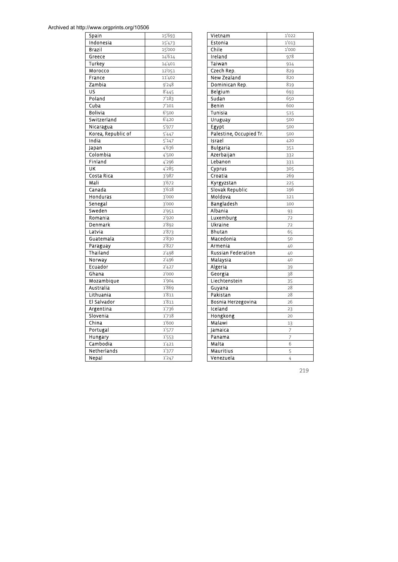| Spain               | _<br>15'693         |
|---------------------|---------------------|
| Indonesia           | 15'473              |
| Brazil              | 15'000              |
| Greece              | 14'614              |
| Turkey              | 14'401              |
| Morocco             | 12'051              |
| France              | 11'402              |
| Zambia              | 9'248               |
| US                  | 8'445               |
| Poland              | 7'183               |
| Cuba                | 7'101               |
| Bolivia             | 6'500               |
| Switzerland         | 6'420               |
| Nicaragua           | $\overline{5'977}$  |
| Korea, Republic of  | 5'447               |
| India               | $\overline{5}'$ 147 |
| Japan               | 4'636               |
| Colombia            | 4'500               |
| Finland             | 4'296               |
| UK                  | 4'285               |
| Costa Rica          | 3'987               |
| Mali                | 3'672               |
| Canada              | 3'618               |
| Honduras            | 3'000               |
| Senegal             | 3'000               |
| Sweden              | 2'951               |
| Romania             | 2'920               |
| Denmark             | 2'892               |
| Latvia              | 2'873               |
| Guatemala           | 2'830               |
| .<br>Paraguay       | 2'827               |
| Thailand            | 2'498               |
| Norway              | 2'496               |
| Ecuador             | $\overline{2}$ '427 |
| Ghana               | 2'000               |
| Mozambique          | 1'904               |
| Australia           | 1'869               |
| Lithuania           | 1'811               |
| El Salvador         | 1'811               |
| Argentina           | 1'736               |
| Slovenia<br>China   | 1'718<br>1'600      |
|                     |                     |
| Portugal            | 1'577               |
| Hungary<br>Cambodia | 1'553               |
| Netherlands         | _<br>1'421          |
|                     | 1'377               |
| Nepal               | 1'247               |

| Vietnam                          | 1'022      |
|----------------------------------|------------|
| Estonia                          | -<br>1'013 |
| Chile                            | 1'000      |
| Ireland                          | 978        |
| Taiwan                           | 914        |
| Czech Rep.                       | 829        |
| <b>New Zealand</b>               | 820        |
| Dominican Rep.                   | 819        |
| Belgium                          | 693        |
| Sudan                            | 650        |
| .<br>Benin                       | 600        |
| Tunisia                          | 515        |
| Uruguay                          | 500        |
| Egypt                            | 500        |
| Palestine, Occupied Tr.          | 500        |
| Israel                           | 420        |
| <b>Bulgaria</b>                  | 351        |
| Azerbaijan                       | 332        |
| Lebanon                          | 331        |
| Cyprus                           | 305        |
| Croatia                          | 269        |
| Kyrgyzstan                       | 225        |
| Slovak Republic                  | 196        |
| Moldova                          | 121        |
| Bangladesh                       | 100        |
| Albania                          | 93         |
| Luxemburg                        | 72         |
| Ukraine                          | 72         |
| Bhutan                           | 65         |
| Macedonia                        | 50         |
| Armenia                          | 40         |
| <b>Russian Federation</b>        | 40         |
| Malaysia                         | 40         |
| Algeria                          | 39         |
| Georgia                          | 38         |
| Liechtenstein                    | 35         |
| Guyana                           | 28         |
| Pakistan                         | 28         |
| Bosnia He <mark>rzegovina</mark> | 26         |
| Iceland                          | 23         |
| Hongkong                         | 20         |
| <u>Malawi</u>                    | 13         |
| Jamaica                          | 7          |
| Panama                           | 7          |
| Malta                            | 6          |
| Mauritius                        | 5          |
| Venezuela                        | 4          |